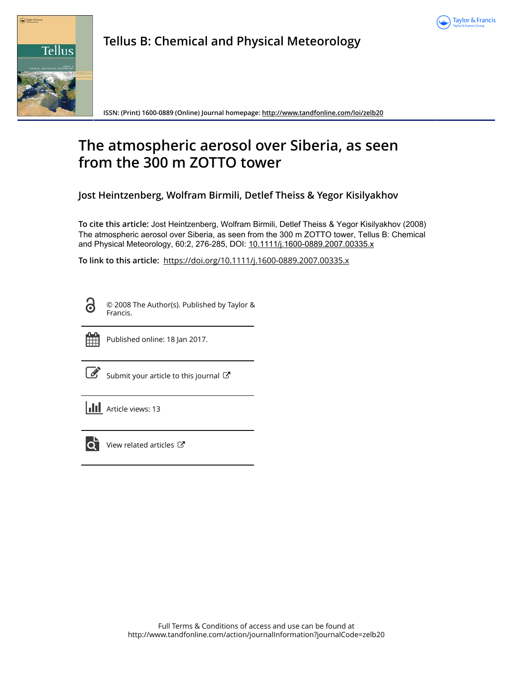



**Tellus B: Chemical and Physical Meteorology**

**ISSN: (Print) 1600-0889 (Online) Journal homepage:<http://www.tandfonline.com/loi/zelb20>**

# **The atmospheric aerosol over Siberia, as seen from the 300 m ZOTTO tower**

**Jost Heintzenberg, Wolfram Birmili, Detlef Theiss & Yegor Kisilyakhov**

**To cite this article:** Jost Heintzenberg, Wolfram Birmili, Detlef Theiss & Yegor Kisilyakhov (2008) The atmospheric aerosol over Siberia, as seen from the 300 m ZOTTO tower, Tellus B: Chemical and Physical Meteorology, 60:2, 276-285, DOI: [10.1111/j.1600-0889.2007.00335.x](http://www.tandfonline.com/action/showCitFormats?doi=10.1111/j.1600-0889.2007.00335.x)

**To link to this article:** <https://doi.org/10.1111/j.1600-0889.2007.00335.x>

<u>ය</u>

© 2008 The Author(s). Published by Taylor & Francis.



Published online: 18 Jan 2017.

[Submit your article to this journal](http://www.tandfonline.com/action/authorSubmission?journalCode=zelb20&show=instructions)  $\mathbb{Z}$ 

**III** Article views: 13



 $\overline{Q}$  [View related articles](http://www.tandfonline.com/doi/mlt/10.1111/j.1600-0889.2007.00335.x)  $\overline{C}$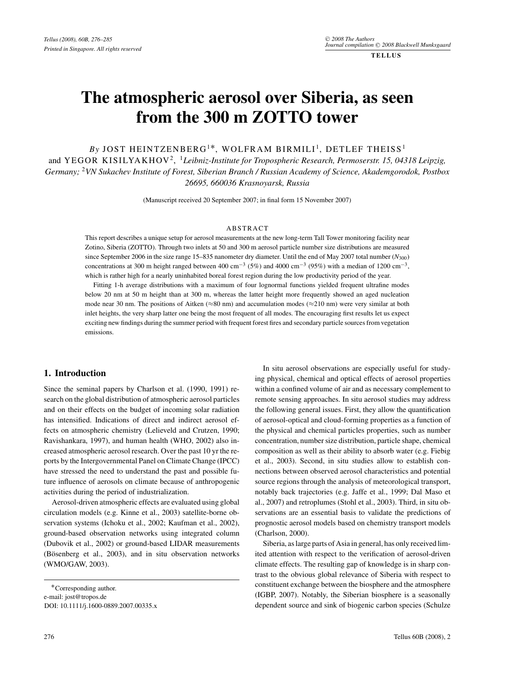**TELLUS**

# **The atmospheric aerosol over Siberia, as seen from the 300 m ZOTTO tower**

*By* JOST HEINTZENBERG<sup>1\*</sup>, WOLFRAM BIRMILI<sup>1</sup>, DETLEF THEISS<sup>1</sup>

and YEGOR KISILYAKHOV2, <sup>1</sup>*Leibniz-Institute for Tropospheric Research, Permoserstr. 15, 04318 Leipzig, Germany;* <sup>2</sup>*VN Sukachev Institute of Forest, Siberian Branch / Russian Academy of Science, Akademgorodok, Postbox 26695, 660036 Krasnoyarsk, Russia*

(Manuscript received 20 September 2007; in final form 15 November 2007)

### ABSTRACT

This report describes a unique setup for aerosol measurements at the new long-term Tall Tower monitoring facility near Zotino, Siberia (ZOTTO). Through two inlets at 50 and 300 m aerosol particle number size distributions are measured since September 2006 in the size range 15–835 nanometer dry diameter. Until the end of May 2007 total number (*N*300) concentrations at 300 m height ranged between 400 cm<sup>-3</sup> (5%) and 4000 cm<sup>-3</sup> (95%) with a median of 1200 cm<sup>-3</sup>, which is rather high for a nearly uninhabited boreal forest region during the low productivity period of the year.

Fitting 1-h average distributions with a maximum of four lognormal functions yielded frequent ultrafine modes below 20 nm at 50 m height than at 300 m, whereas the latter height more frequently showed an aged nucleation mode near 30 nm. The positions of Aitken ( $\approx$ 80 nm) and accumulation modes ( $\approx$ 210 nm) were very similar at both inlet heights, the very sharp latter one being the most frequent of all modes. The encouraging first results let us expect exciting new findings during the summer period with frequent forest fires and secondary particle sources from vegetation emissions.

## **1. Introduction**

Since the seminal papers by Charlson et al. (1990, 1991) research on the global distribution of atmospheric aerosol particles and on their effects on the budget of incoming solar radiation has intensified. Indications of direct and indirect aerosol effects on atmospheric chemistry (Lelieveld and Crutzen, 1990; Ravishankara, 1997), and human health (WHO, 2002) also increased atmospheric aerosol research. Over the past 10 yr the reports by the Intergovernmental Panel on Climate Change (IPCC) have stressed the need to understand the past and possible future influence of aerosols on climate because of anthropogenic activities during the period of industrialization.

Aerosol-driven atmospheric effects are evaluated using global circulation models (e.g. Kinne et al., 2003) satellite-borne observation systems (Ichoku et al., 2002; Kaufman et al., 2002), ground-based observation networks using integrated column (Dubovik et al., 2002) or ground-based LIDAR measurements (Bösenberg et al., 2003), and in situ observation networks (WMO/GAW, 2003).

In situ aerosol observations are especially useful for studying physical, chemical and optical effects of aerosol properties within a confined volume of air and as necessary complement to remote sensing approaches. In situ aerosol studies may address the following general issues. First, they allow the quantification of aerosol-optical and cloud-forming properties as a function of the physical and chemical particles properties, such as number concentration, number size distribution, particle shape, chemical composition as well as their ability to absorb water (e.g. Fiebig et al., 2003). Second, in situ studies allow to establish connections between observed aerosol characteristics and potential source regions through the analysis of meteorological transport, notably back trajectories (e.g. Jaffe et al., 1999; Dal Maso et al., 2007) and retroplumes (Stohl et al., 2003). Third, in situ observations are an essential basis to validate the predictions of prognostic aerosol models based on chemistry transport models (Charlson, 2000).

Siberia, as large parts of Asia in general, has only received limited attention with respect to the verification of aerosol-driven climate effects. The resulting gap of knowledge is in sharp contrast to the obvious global relevance of Siberia with respect to constituent exchange between the biosphere and the atmosphere (IGBP, 2007). Notably, the Siberian biosphere is a seasonally dependent source and sink of biogenic carbon species (Schulze

<sup>∗</sup>Corresponding author. e-mail: jost@tropos.de DOI: 10.1111/j.1600-0889.2007.00335.x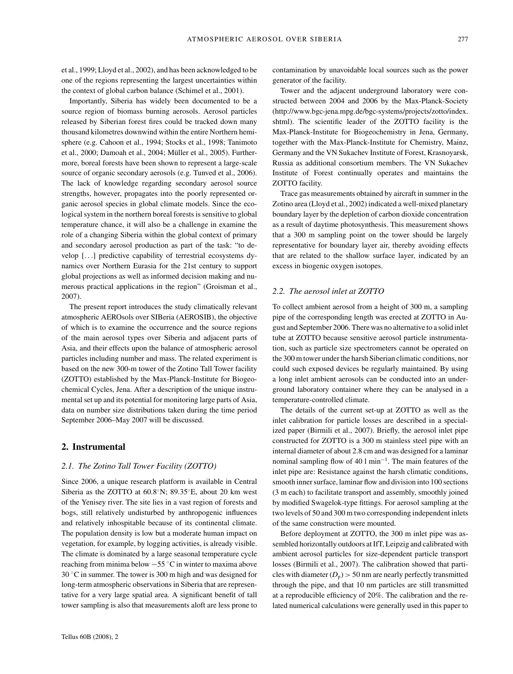et al., 1999; Lloyd et al., 2002), and has been acknowledged to be one of the regions representing the largest uncertainties within the context of global carbon balance (Schimel et al., 2001).

Importantly, Siberia has widely been documented to be a source region of biomass burning aerosols. Aerosol particles released by Siberian forest fires could be tracked down many thousand kilometres downwind within the entire Northern hemisphere (e.g. Cahoon et al., 1994; Stocks et al., 1998; Tanimoto et al., 2000; Damoah et al., 2004; Müller et al., 2005). Furthermore, boreal forests have been shown to represent a large-scale source of organic secondary aerosols (e.g. Tunved et al., 2006). The lack of knowledge regarding secondary aerosol source strengths, however, propagates into the poorly represented organic aerosol species in global climate models. Since the ecological system in the northern boreal forests is sensitive to global temperature chance, it will also be a challenge in examine the role of a changing Siberia within the global context of primary and secondary aerosol production as part of the task: "to develop [...] predictive capability of terrestrial ecosystems dynamics over Northern Eurasia for the 21st century to support global projections as well as informed decision making and numerous practical applications in the region" (Groisman et al., 2007).

The present report introduces the study climatically relevant atmospheric AEROsols over SIBeria (AEROSIB), the objective of which is to examine the occurrence and the source regions of the main aerosol types over Siberia and adjacent parts of Asia, and their effects upon the balance of atmospheric aerosol particles including number and mass. The related experiment is based on the new 300-m tower of the Zotino Tall Tower facility (ZOTTO) established by the Max-Planck-Institute for Biogeochemical Cycles, Jena. After a description of the unique instrumental set up and its potential for monitoring large parts of Asia, data on number size distributions taken during the time period September 2006–May 2007 will be discussed.

## **2. Instrumental**

## *2.1. The Zotino Tall Tower Facility (ZOTTO)*

Since 2006, a unique research platform is available in Central Siberia as the ZOTTO at 60.8◦N; 89.35◦E, about 20 km west of the Yenisey river. The site lies in a vast region of forests and bogs, still relatively undisturbed by anthropogenic influences and relatively inhospitable because of its continental climate. The population density is low but a moderate human impact on vegetation, for example, by logging activities, is already visible. The climate is dominated by a large seasonal temperature cycle reaching from minima below −55 ◦C in winter to maxima above 30 ◦C in summer. The tower is 300 m high and was designed for long-term atmospheric observations in Siberia that are representative for a very large spatial area. A significant benefit of tall tower sampling is also that measurements aloft are less prone to

Tower and the adjacent underground laboratory were constructed between 2004 and 2006 by the Max-Planck-Society (http://www.bgc-jena.mpg.de/bgc-systems/projects/zotto/index. shtml). The scientific leader of the ZOTTO facility is the Max-Planck-Institute for Biogeochemistry in Jena, Germany, together with the Max-Planck-Institute for Chemistry, Mainz, Germany and the VN Sukachev Institute of Forest, Krasnoyarsk, Russia as additional consortium members. The VN Sukachev Institute of Forest continually operates and maintains the ZOTTO facility.

Trace gas measurements obtained by aircraft in summer in the Zotino area (Lloyd et al., 2002) indicated a well-mixed planetary boundary layer by the depletion of carbon dioxide concentration as a result of daytime photosynthesis. This measurement shows that a 300 m sampling point on the tower should be largely representative for boundary layer air, thereby avoiding effects that are related to the shallow surface layer, indicated by an excess in biogenic oxygen isotopes.

#### *2.2. The aerosol inlet at ZOTTO*

To collect ambient aerosol from a height of 300 m, a sampling pipe of the corresponding length was erected at ZOTTO in August and September 2006. There was no alternative to a solid inlet tube at ZOTTO because sensitive aerosol particle instrumentation, such as particle size spectrometers cannot be operated on the 300 m tower under the harsh Siberian climatic conditions, nor could such exposed devices be regularly maintained. By using a long inlet ambient aerosols can be conducted into an underground laboratory container where they can be analysed in a temperature-controlled climate.

The details of the current set-up at ZOTTO as well as the inlet calibration for particle losses are described in a specialized paper (Birmili et al., 2007). Briefly, the aerosol inlet pipe constructed for ZOTTO is a 300 m stainless steel pipe with an internal diameter of about 2.8 cm and was designed for a laminar nominal sampling flow of 40 l min−1. The main features of the inlet pipe are: Resistance against the harsh climatic conditions, smooth inner surface, laminar flow and division into 100 sections (3 m each) to facilitate transport and assembly, smoothly joined by modified Swagelok-type fittings. For aerosol sampling at the two levels of 50 and 300 m two corresponding independent inlets of the same construction were mounted.

Before deployment at ZOTTO, the 300 m inlet pipe was assembled horizontally outdoors at IfT, Leipzig and calibrated with ambient aerosol particles for size-dependent particle transport losses (Birmili et al., 2007). The calibration showed that particles with diameter  $(D_p)$  > 50 nm are nearly perfectly transmitted through the pipe, and that 10 nm particles are still transmitted at a reproducible efficiency of 20%. The calibration and the related numerical calculations were generally used in this paper to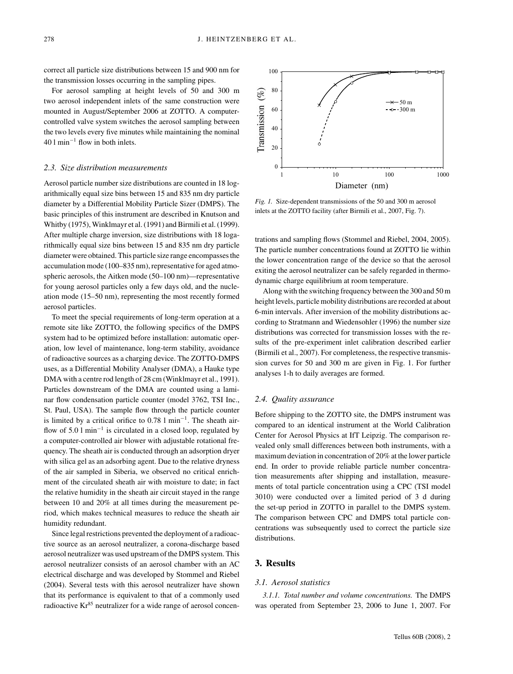correct all particle size distributions between 15 and 900 nm for the transmission losses occurring in the sampling pipes.

For aerosol sampling at height levels of 50 and 300 m two aerosol independent inlets of the same construction were mounted in August/September 2006 at ZOTTO. A computercontrolled valve system switches the aerosol sampling between the two levels every five minutes while maintaining the nominal 40 l min−<sup>1</sup> flow in both inlets.

#### *2.3. Size distribution measurements*

Aerosol particle number size distributions are counted in 18 logarithmically equal size bins between 15 and 835 nm dry particle diameter by a Differential Mobility Particle Sizer (DMPS). The basic principles of this instrument are described in Knutson and Whitby (1975), Winklmayr et al. (1991) and Birmili et al. (1999). After multiple charge inversion, size distributions with 18 logarithmically equal size bins between 15 and 835 nm dry particle diameter were obtained. This particle size range encompasses the accumulation mode (100–835 nm), representative for aged atmospheric aerosols, the Aitken mode (50–100 nm)—representative for young aerosol particles only a few days old, and the nucleation mode (15–50 nm), representing the most recently formed aerosol particles.

To meet the special requirements of long-term operation at a remote site like ZOTTO, the following specifics of the DMPS system had to be optimized before installation: automatic operation, low level of maintenance, long-term stability, avoidance of radioactive sources as a charging device. The ZOTTO-DMPS uses, as a Differential Mobility Analyser (DMA), a Hauke type DMA with a centre rod length of 28 cm (Winklmayr et al., 1991). Particles downstream of the DMA are counted using a laminar flow condensation particle counter (model 3762, TSI Inc., St. Paul, USA). The sample flow through the particle counter is limited by a critical orifice to 0.78 l min−1. The sheath airflow of 5.0 l min−<sup>1</sup> is circulated in a closed loop, regulated by a computer-controlled air blower with adjustable rotational frequency. The sheath air is conducted through an adsorption dryer with silica gel as an adsorbing agent. Due to the relative dryness of the air sampled in Siberia, we observed no critical enrichment of the circulated sheath air with moisture to date; in fact the relative humidity in the sheath air circuit stayed in the range between 10 and 20% at all times during the measurement period, which makes technical measures to reduce the sheath air humidity redundant.

Since legal restrictions prevented the deployment of a radioactive source as an aerosol neutralizer, a corona-discharge based aerosol neutralizer was used upstream of the DMPS system. This aerosol neutralizer consists of an aerosol chamber with an AC electrical discharge and was developed by Stommel and Riebel (2004). Several tests with this aerosol neutralizer have shown that its performance is equivalent to that of a commonly used radioactive  $Kr^{85}$  neutralizer for a wide range of aerosol concen-



*Fig. 1.* Size-dependent transmissions of the 50 and 300 m aerosol inlets at the ZOTTO facility (after Birmili et al., 2007, Fig. 7).

trations and sampling flows (Stommel and Riebel, 2004, 2005). The particle number concentrations found at ZOTTO lie within the lower concentration range of the device so that the aerosol exiting the aerosol neutralizer can be safely regarded in thermodynamic charge equilibrium at room temperature.

Along with the switching frequency between the 300 and 50 m height levels, particle mobility distributions are recorded at about 6-min intervals. After inversion of the mobility distributions according to Stratmann and Wiedensohler (1996) the number size distributions was corrected for transmission losses with the results of the pre-experiment inlet calibration described earlier (Birmili et al., 2007). For completeness, the respective transmission curves for 50 and 300 m are given in Fig. 1. For further analyses 1-h to daily averages are formed.

#### *2.4. Quality assurance*

Before shipping to the ZOTTO site, the DMPS instrument was compared to an identical instrument at the World Calibration Center for Aerosol Physics at IfT Leipzig. The comparison revealed only small differences between both instruments, with a maximum deviation in concentration of 20% at the lower particle end. In order to provide reliable particle number concentration measurements after shipping and installation, measurements of total particle concentration using a CPC (TSI model 3010) were conducted over a limited period of 3 d during the set-up period in ZOTTO in parallel to the DMPS system. The comparison between CPC and DMPS total particle concentrations was subsequently used to correct the particle size distributions.

#### **3. Results**

### *3.1. Aerosol statistics*

*3.1.1. Total number and volume concentrations.* The DMPS was operated from September 23, 2006 to June 1, 2007. For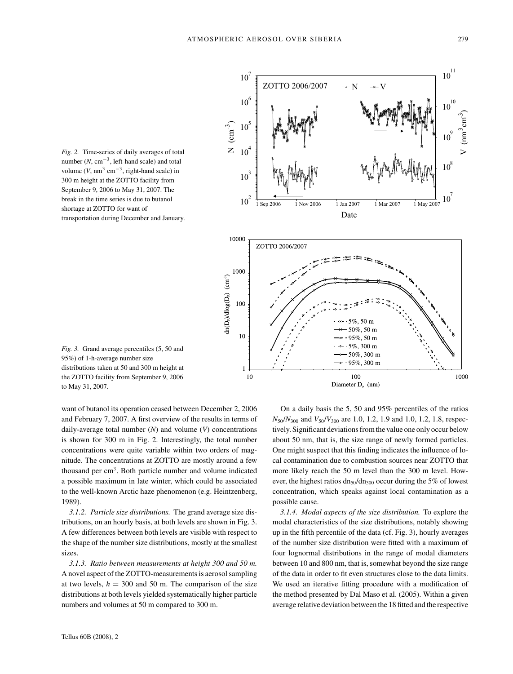*Fig. 2.* Time-series of daily averages of total number  $(N, cm^{-3}, left$ -hand scale) and total volume  $(V, \text{nm}^3 \text{ cm}^{-3}, \text{right-hand scale})$  in 300 m height at the ZOTTO facility from September 9, 2006 to May 31, 2007. The break in the time series is due to butanol shortage at ZOTTO for want of transportation during December and January.



*Fig. 3.* Grand average percentiles (5, 50 and 95%) of 1-h-average number size distributions taken at 50 and 300 m height at the ZOTTO facility from September 9, 2006 to May 31, 2007.

want of butanol its operation ceased between December 2, 2006 and February 7, 2007. A first overview of the results in terms of daily-average total number (*N*) and volume (*V*) concentrations is shown for 300 m in Fig. 2. Interestingly, the total number concentrations were quite variable within two orders of magnitude. The concentrations at ZOTTO are mostly around a few thousand per  $cm<sup>3</sup>$ . Both particle number and volume indicated a possible maximum in late winter, which could be associated to the well-known Arctic haze phenomenon (e.g. Heintzenberg, 1989).

*3.1.2. Particle size distributions.* The grand average size distributions, on an hourly basis, at both levels are shown in Fig. 3. A few differences between both levels are visible with respect to the shape of the number size distributions, mostly at the smallest sizes.

*3.1.3. Ratio between measurements at height 300 and 50 m.* A novel aspect of the ZOTTO-measurements is aerosol sampling at two levels,  $h = 300$  and 50 m. The comparison of the size distributions at both levels yielded systematically higher particle numbers and volumes at 50 m compared to 300 m.

On a daily basis the 5, 50 and 95% percentiles of the ratios *N*50/*N*<sup>300</sup> and *V*50/*V*<sup>300</sup> are 1.0, 1.2, 1.9 and 1.0, 1.2, 1.8, respectively. Significant deviations from the value one only occur below about 50 nm, that is, the size range of newly formed particles. One might suspect that this finding indicates the influence of local contamination due to combustion sources near ZOTTO that more likely reach the 50 m level than the 300 m level. However, the highest ratios  $dn_{50}/dn_{300}$  occur during the 5% of lowest concentration, which speaks against local contamination as a possible cause.

*3.1.4. Modal aspects of the size distribution.* To explore the modal characteristics of the size distributions, notably showing up in the fifth percentile of the data (cf. Fig. 3), hourly averages of the number size distribution were fitted with a maximum of four lognormal distributions in the range of modal diameters between 10 and 800 nm, that is, somewhat beyond the size range of the data in order to fit even structures close to the data limits. We used an iterative fitting procedure with a modification of the method presented by Dal Maso et al. (2005). Within a given average relative deviation between the 18 fitted and the respective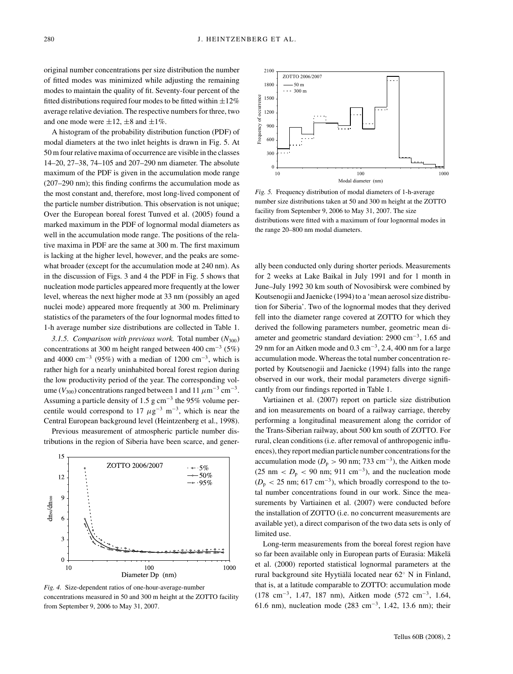original number concentrations per size distribution the number of fitted modes was minimized while adjusting the remaining modes to maintain the quality of fit. Seventy-four percent of the fitted distributions required four modes to be fitted within  $\pm 12\%$ average relative deviation. The respective numbers for three, two and one mode were  $\pm 12$ ,  $\pm 8$  and  $\pm 1\%$ .

A histogram of the probability distribution function (PDF) of modal diameters at the two inlet heights is drawn in Fig. 5. At 50 m four relative maxima of occurrence are visible in the classes 14–20, 27–38, 74–105 and 207–290 nm diameter. The absolute maximum of the PDF is given in the accumulation mode range (207–290 nm); this finding confirms the accumulation mode as the most constant and, therefore, most long-lived component of the particle number distribution. This observation is not unique; Over the European boreal forest Tunved et al. (2005) found a marked maximum in the PDF of lognormal modal diameters as well in the accumulation mode range. The positions of the relative maxima in PDF are the same at 300 m. The first maximum is lacking at the higher level, however, and the peaks are somewhat broader (except for the accumulation mode at 240 nm). As in the discussion of Figs. 3 and 4 the PDF in Fig. 5 shows that nucleation mode particles appeared more frequently at the lower level, whereas the next higher mode at 33 nm (possibly an aged nuclei mode) appeared more frequently at 300 m. Preliminary statistics of the parameters of the four lognormal modes fitted to 1-h average number size distributions are collected in Table 1.

*3.1.5. Comparison with previous work.* Total number (*N*300) concentrations at 300 m height ranged between 400 cm−<sup>3</sup> (5%) and 4000 cm<sup>-3</sup> (95%) with a median of 1200 cm<sup>-3</sup>, which is rather high for a nearly uninhabited boreal forest region during the low productivity period of the year. The corresponding volume ( $V_{300}$ ) concentrations ranged between 1 and 11  $\mu$ m<sup>-3</sup> cm<sup>-3</sup>. Assuming a particle density of 1.5 g cm<sup>-3</sup> the 95% volume percentile would correspond to 17  $\mu$ g<sup>-3</sup> m<sup>-3</sup>, which is near the Central European background level (Heintzenberg et al., 1998).

Previous measurement of atmospheric particle number distributions in the region of Siberia have been scarce, and gener-



*Fig. 4.* Size-dependent ratios of one-hour-average-number concentrations measured in 50 and 300 m height at the ZOTTO facility from September 9, 2006 to May 31, 2007.



*Fig. 5.* Frequency distribution of modal diameters of 1-h-average number size distributions taken at 50 and 300 m height at the ZOTTO facility from September 9, 2006 to May 31, 2007. The size distributions were fitted with a maximum of four lognormal modes in the range 20–800 nm modal diameters.

ally been conducted only during shorter periods. Measurements for 2 weeks at Lake Baikal in July 1991 and for 1 month in June–July 1992 30 km south of Novosibirsk were combined by Koutsenogii and Jaenicke (1994) to a 'mean aerosol size distribution for Siberia'. Two of the lognormal modes that they derived fell into the diameter range covered at ZOTTO for which they derived the following parameters number, geometric mean diameter and geometric standard deviation: 2900 cm−3, 1.65 and 29 nm for an Aitken mode and  $0.3 \text{ cm}^{-3}$ , 2.4, 400 nm for a large accumulation mode. Whereas the total number concentration reported by Koutsenogii and Jaenicke (1994) falls into the range observed in our work, their modal parameters diverge significantly from our findings reported in Table 1.

Vartiainen et al. (2007) report on particle size distribution and ion measurements on board of a railway carriage, thereby performing a longitudinal measurement along the corridor of the Trans-Siberian railway, about 500 km south of ZOTTO. For rural, clean conditions (i.e. after removal of anthropogenic influences), they report median particle number concentrations for the accumulation mode ( $D_p > 90$  nm; 733 cm<sup>-3</sup>), the Aitken mode (25 nm  $\langle D_p \rangle$  < 90 nm; 911 cm<sup>-3</sup>), and the nucleation mode  $(D<sub>p</sub> < 25$  nm; 617 cm<sup>-3</sup>), which broadly correspond to the total number concentrations found in our work. Since the measurements by Vartiainen et al. (2007) were conducted before the installation of ZOTTO (i.e. no concurrent measurements are available yet), a direct comparison of the two data sets is only of limited use.

Long-term measurements from the boreal forest region have so far been available only in European parts of Eurasia: Mäkelä et al. (2000) reported statistical lognormal parameters at the rural background site Hyytiälä located near 62 $\degree$  N in Finland, that is, at a latitude comparable to ZOTTO: accumulation mode (178 cm−3, 1.47, 187 nm), Aitken mode (572 cm−3, 1.64, 61.6 nm), nucleation mode (283 cm−3, 1.42, 13.6 nm); their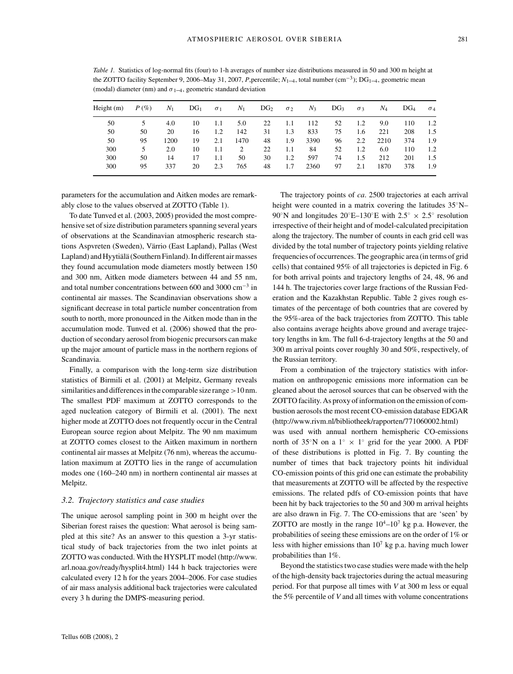*Table 1.* Statistics of log-normal fits (four) to 1-h averages of number size distributions measured in 50 and 300 m height at the ZOTTO facility September 9, 2006–May 31, 2007, *P*,percentile; *N*1–4, total number (cm−3); DG1–4, geometric mean (modal) diameter (nm) and  $\sigma_{1-4}$ , geometric standard deviation

| Height $(m)$ | $P(\%)$ | $N_1$ | DG <sub>1</sub> | $\sigma_1$ | $N_1$ | DG <sub>2</sub> | $\sigma_2$ | $N_3$ | DG <sub>3</sub> | $\sigma$ 3 | $N_4$ | DG <sub>4</sub> | $\sigma_4$ |
|--------------|---------|-------|-----------------|------------|-------|-----------------|------------|-------|-----------------|------------|-------|-----------------|------------|
| 50           |         | 4.0   | 10              | 1.1        | 5.0   | 22              | 1.1        | 112   | 52              | 1.2        | 9.0   | 110             | 1.2        |
| 50           | 50      | 20    | 16              | 1.2        | 142   | 31              | 1.3        | 833   | 75              | 1.6        | 221   | 208             | 1.5        |
| 50           | 95      | 1200  | 19              | 2.1        | 1470  | 48              | 1.9        | 3390  | 96              | 2.2        | 2210  | 374             | 1.9        |
| 300          | 5       | 2.0   | 10              | 1.1        | 2     | 22              | 1.1        | 84    | 52              | 1.2        | 6.0   | 110             | 1.2        |
| 300          | 50      | 14    | 17              | 1.1        | 50    | 30              | 1.2        | 597   | 74              | 1.5        | 212   | 201             | 1.5        |
| 300          | 95      | 337   | 20              | 2.3        | 765   | 48              | 1.7        | 2360  | 97              | 2.1        | 1870  | 378             | 1.9        |

parameters for the accumulation and Aitken modes are remarkably close to the values observed at ZOTTO (Table 1).

To date Tunved et al. (2003, 2005) provided the most comprehensive set of size distribution parameters spanning several years of observations at the Scandinavian atmospheric research stations Aspvreten (Sweden), Värrio (East Lapland), Pallas (West Lapland) and Hyytiälä (Southern Finland). In different air masses they found accumulation mode diameters mostly between 150 and 300 nm, Aitken mode diameters between 44 and 55 nm, and total number concentrations between 600 and 3000 cm−<sup>3</sup> in continental air masses. The Scandinavian observations show a significant decrease in total particle number concentration from south to north, more pronounced in the Aitken mode than in the accumulation mode. Tunved et al. (2006) showed that the production of secondary aerosol from biogenic precursors can make up the major amount of particle mass in the northern regions of Scandinavia.

Finally, a comparison with the long-term size distribution statistics of Birmili et al. (2001) at Melpitz, Germany reveals similarities and differences in the comparable size range  $>10$  nm. The smallest PDF maximum at ZOTTO corresponds to the aged nucleation category of Birmili et al. (2001). The next higher mode at ZOTTO does not frequently occur in the Central European source region about Melpitz. The 90 nm maximum at ZOTTO comes closest to the Aitken maximum in northern continental air masses at Melpitz (76 nm), whereas the accumulation maximum at ZOTTO lies in the range of accumulation modes one (160–240 nm) in northern continental air masses at Melpitz.

#### *3.2. Trajectory statistics and case studies*

The unique aerosol sampling point in 300 m height over the Siberian forest raises the question: What aerosol is being sampled at this site? As an answer to this question a 3-yr statistical study of back trajectories from the two inlet points at ZOTTO was conducted. With the HYSPLIT model (http://www. arl.noaa.gov/ready/hysplit4.html) 144 h back trajectories were calculated every 12 h for the years 2004–2006. For case studies of air mass analysis additional back trajectories were calculated every 3 h during the DMPS-measuring period.

The trajectory points of *ca*. 2500 trajectories at each arrival height were counted in a matrix covering the latitudes 35°N– 90<sup>°</sup>N and longitudes 20°E–130°E with 2.5°  $\times$  2.5° resolution irrespective of their height and of model-calculated precipitation along the trajectory. The number of counts in each grid cell was divided by the total number of trajectory points yielding relative frequencies of occurrences. The geographic area (in terms of grid cells) that contained 95% of all trajectories is depicted in Fig. 6 for both arrival points and trajectory lengths of 24, 48, 96 and 144 h. The trajectories cover large fractions of the Russian Federation and the Kazakhstan Republic. Table 2 gives rough estimates of the percentage of both countries that are covered by the 95%-area of the back trajectories from ZOTTO. This table also contains average heights above ground and average trajectory lengths in km. The full 6-d-trajectory lengths at the 50 and 300 m arrival points cover roughly 30 and 50%, respectively, of the Russian territory.

From a combination of the trajectory statistics with information on anthropogenic emissions more information can be gleaned about the aerosol sources that can be observed with the ZOTTO facility. As proxy of information on the emission of combustion aerosols the most recent CO-emission database EDGAR (http://www.rivm.nl/bibliotheek/rapporten/771060002.html) was used with annual northern hemispheric CO-emissions north of 35°N on a  $1° \times 1°$  grid for the year 2000. A PDF of these distributions is plotted in Fig. 7. By counting the number of times that back trajectory points hit individual CO-emission points of this grid one can estimate the probability that measurements at ZOTTO will be affected by the respective emissions. The related pdfs of CO-emission points that have been hit by back trajectories to the 50 and 300 m arrival heights are also drawn in Fig. 7. The CO-emissions that are 'seen' by ZOTTO are mostly in the range  $10^4$ – $10^7$  kg p.a. However, the probabilities of seeing these emissions are on the order of 1% or less with higher emissions than  $10^7$  kg p.a. having much lower probabilities than 1%.

Beyond the statistics two case studies were made with the help of the high-density back trajectories during the actual measuring period. For that purpose all times with *V* at 300 m less or equal the 5% percentile of *V* and all times with volume concentrations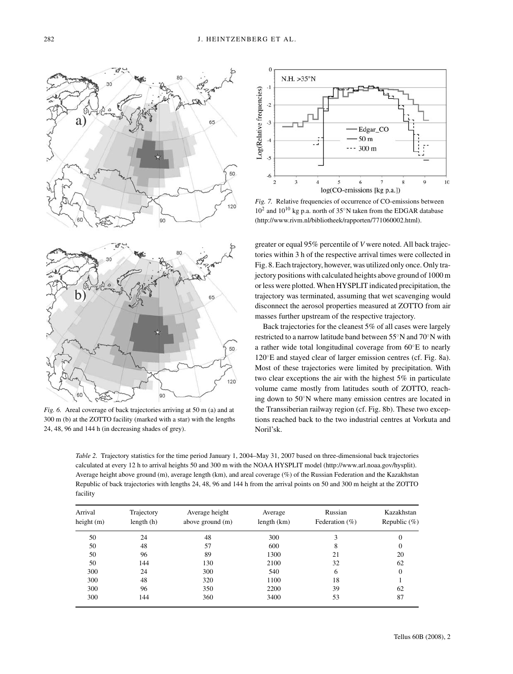65 50 120 65 50 120

*Fig. 6.* Areal coverage of back trajectories arriving at 50 m (a) and at 300 m (b) at the ZOTTO facility (marked with a star) with the lengths 24, 48, 96 and 144 h (in decreasing shades of grey).



*Fig. 7.* Relative frequencies of occurrence of CO-emissions between  $10^2$  and  $10^{10}$  kg p.a. north of 35°N taken from the EDGAR database (http://www.rivm.nl/bibliotheek/rapporten/771060002.html).

greater or equal 95% percentile of *V* were noted. All back trajectories within 3 h of the respective arrival times were collected in Fig. 8. Each trajectory, however, was utilized only once. Only trajectory positions with calculated heights above ground of 1000 m or less were plotted. When HYSPLIT indicated precipitation, the trajectory was terminated, assuming that wet scavenging would disconnect the aerosol properties measured at ZOTTO from air masses further upstream of the respective trajectory.

Back trajectories for the cleanest 5% of all cases were largely restricted to a narrow latitude band between 55◦N and 70◦N with a rather wide total longitudinal coverage from 60◦E to nearly 120◦E and stayed clear of larger emission centres (cf. Fig. 8a). Most of these trajectories were limited by precipitation. With two clear exceptions the air with the highest 5% in particulate volume came mostly from latitudes south of ZOTTO, reaching down to 50◦N where many emission centres are located in the Transsiberian railway region (cf. Fig. 8b). These two exceptions reached back to the two industrial centres at Vorkuta and Noril'sk.

*Table 2.* Trajectory statistics for the time period January 1, 2004–May 31, 2007 based on three-dimensional back trajectories calculated at every 12 h to arrival heights 50 and 300 m with the NOAA HYSPLIT model (http://www.arl.noaa.gov/hysplit). Average height above ground (m), average length (km), and areal coverage (%) of the Russian Federation and the Kazakhstan Republic of back trajectories with lengths 24, 48, 96 and 144 h from the arrival points on 50 and 300 m height at the ZOTTO facility

| Arrival<br>height $(m)$ | Trajectory<br>length(h) | Average height<br>above ground (m) | Average<br>length (km) | Russian<br>Federation $(\%)$ | Kazakhstan<br>Republic $(\%)$ |  |
|-------------------------|-------------------------|------------------------------------|------------------------|------------------------------|-------------------------------|--|
| 50                      | 24                      | 48                                 | 300                    |                              | $\Omega$                      |  |
| 50                      | 48                      | 57                                 | 600                    | 8                            | 0                             |  |
| 50                      | 96                      | 89                                 | 1300                   | 21                           | 20                            |  |
| 50                      | 144                     | 130                                | 2100                   | 32                           | 62                            |  |
| 300                     | 24                      | 300                                | 540                    | 6                            | $\mathbf{0}$                  |  |
| 300                     | 48                      | 320                                | 1100                   | 18                           |                               |  |
| 300                     | 96                      | 350                                | 2200                   | 39                           | 62                            |  |
| 300                     | 144                     | 360                                | 3400                   | 53                           | 87                            |  |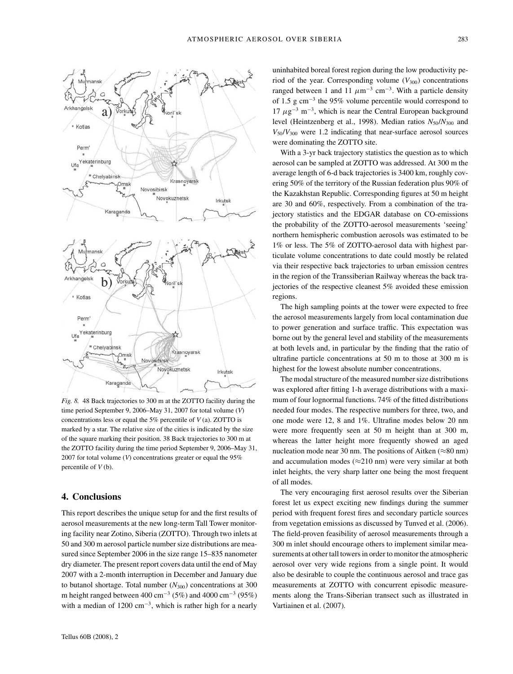

*Fig. 8.* 48 Back trajectories to 300 m at the ZOTTO facility during the time period September 9, 2006–May 31, 2007 for total volume (*V*) concentrations less or equal the 5% percentile of *V* (a). ZOTTO is marked by a star. The relative size of the cities is indicated by the size of the square marking their position. 38 Back trajectories to 300 m at the ZOTTO facility during the time period September 9, 2006–May 31, 2007 for total volume (*V*) concentrations greater or equal the 95% percentile of *V* (b).

## **4. Conclusions**

This report describes the unique setup for and the first results of aerosol measurements at the new long-term Tall Tower monitoring facility near Zotino, Siberia (ZOTTO). Through two inlets at 50 and 300 m aerosol particle number size distributions are measured since September 2006 in the size range 15–835 nanometer dry diameter. The present report covers data until the end of May 2007 with a 2-month interruption in December and January due to butanol shortage. Total number  $(N_{300})$  concentrations at 300 m height ranged between 400 cm<sup>-3</sup> (5%) and 4000 cm<sup>-3</sup> (95%) with a median of 1200 cm−3, which is rather high for a nearly

uninhabited boreal forest region during the low productivity period of the year. Corresponding volume  $(V_{300})$  concentrations ranged between 1 and 11  $\mu$ m<sup>-3</sup> cm<sup>-3</sup>. With a particle density of 1.5 g cm−<sup>3</sup> the 95% volume percentile would correspond to  $17 \mu$ g<sup>-3</sup> m<sup>-3</sup>, which is near the Central European background level (Heintzenberg et al., 1998). Median ratios  $N_{50}/N_{300}$  and  $V_{50}/V_{300}$  were 1.2 indicating that near-surface aerosol sources were dominating the ZOTTO site.

With a 3-yr back trajectory statistics the question as to which aerosol can be sampled at ZOTTO was addressed. At 300 m the average length of 6-d back trajectories is 3400 km, roughly covering 50% of the territory of the Russian federation plus 90% of the Kazakhstan Republic. Corresponding figures at 50 m height are 30 and 60%, respectively. From a combination of the trajectory statistics and the EDGAR database on CO-emissions the probability of the ZOTTO-aerosol measurements 'seeing' northern hemispheric combustion aerosols was estimated to be 1% or less. The 5% of ZOTTO-aerosol data with highest particulate volume concentrations to date could mostly be related via their respective back trajectories to urban emission centres in the region of the Transsiberian Railway whereas the back trajectories of the respective cleanest 5% avoided these emission regions.

The high sampling points at the tower were expected to free the aerosol measurements largely from local contamination due to power generation and surface traffic. This expectation was borne out by the general level and stability of the measurements at both levels and, in particular by the finding that the ratio of ultrafine particle concentrations at 50 m to those at 300 m is highest for the lowest absolute number concentrations.

The modal structure of the measured number size distributions was explored after fitting 1-h average distributions with a maximum of four lognormal functions. 74% of the fitted distributions needed four modes. The respective numbers for three, two, and one mode were 12, 8 and 1%. Ultrafine modes below 20 nm were more frequently seen at 50 m height than at 300 m, whereas the latter height more frequently showed an aged nucleation mode near 30 nm. The positions of Aitken ( $\approx 80$  nm) and accumulation modes ( $\approx$ 210 nm) were very similar at both inlet heights, the very sharp latter one being the most frequent of all modes.

The very encouraging first aerosol results over the Siberian forest let us expect exciting new findings during the summer period with frequent forest fires and secondary particle sources from vegetation emissions as discussed by Tunved et al. (2006). The field-proven feasibility of aerosol measurements through a 300 m inlet should encourage others to implement similar measurements at other tall towers in order to monitor the atmospheric aerosol over very wide regions from a single point. It would also be desirable to couple the continuous aerosol and trace gas measurements at ZOTTO with concurrent episodic measurements along the Trans-Siberian transect such as illustrated in Vartiainen et al. (2007).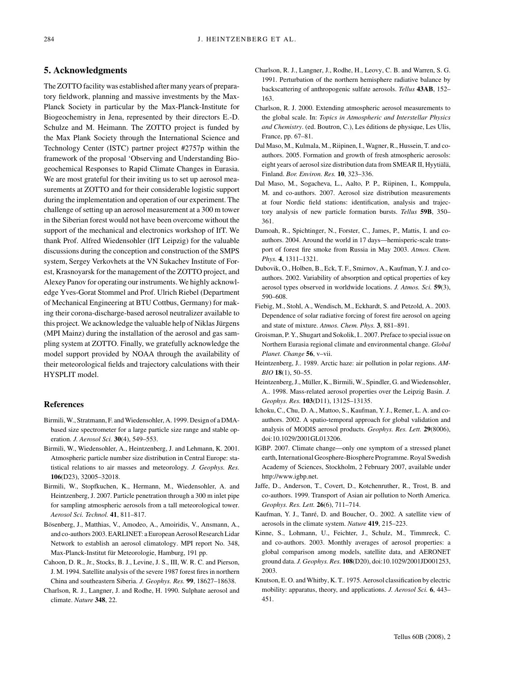## **5. Acknowledgments**

The ZOTTO facility was established after many years of preparatory fieldwork, planning and massive investments by the Max-Planck Society in particular by the Max-Planck-Institute for Biogeochemistry in Jena, represented by their directors E.-D. Schulze and M. Heimann. The ZOTTO project is funded by the Max Plank Society through the International Science and Technology Center (ISTC) partner project #2757p within the framework of the proposal 'Observing and Understanding Biogeochemical Responses to Rapid Climate Changes in Eurasia. We are most grateful for their inviting us to set up aerosol measurements at ZOTTO and for their considerable logistic support during the implementation and operation of our experiment. The challenge of setting up an aerosol measurement at a 300 m tower in the Siberian forest would not have been overcome without the support of the mechanical and electronics workshop of IfT. We thank Prof. Alfred Wiedensohler (IfT Leipzig) for the valuable discussions during the conception and construction of the SMPS system, Sergey Verkovhets at the VN Sukachev Institute of Forest, Krasnoyarsk for the management of the ZOTTO project, and Alexey Panov for operating our instruments. We highly acknowledge Yves-Gorat Stommel and Prof. Ulrich Riebel (Department of Mechanical Engineering at BTU Cottbus, Germany) for making their corona-discharge-based aerosol neutralizer available to this project. We acknowledge the valuable help of Niklas Jürgens (MPI Mainz) during the installation of the aerosol and gas sampling system at ZOTTO. Finally, we gratefully acknowledge the model support provided by NOAA through the availability of their meteorological fields and trajectory calculations with their HYSPLIT model.

#### **References**

- Birmili, W., Stratmann, F. and Wiedensohler, A. 1999. Design of a DMAbased size spectrometer for a large particle size range and stable operation. *J. Aerosol Sci.* **30**(4), 549–553.
- Birmili, W., Wiedensohler, A., Heintzenberg, J. and Lehmann, K. 2001. Atmospheric particle number size distribution in Central Europe: statistical relations to air masses and meteorology. *J. Geophys. Res.* **106**(D23), 32005–32018.
- Birmili, W., Stopfkuchen, K., Hermann, M., Wiedensohler, A. and Heintzenberg, J. 2007. Particle penetration through a 300 m inlet pipe for sampling atmospheric aerosols from a tall meteorological tower. *Aerosol Sci. Technol.* **41**, 811–817.
- Bösenberg, J., Matthias, V., Amodeo, A., Amoiridis, V., Ansmann, A., and co-authors 2003. EARLINET: a European Aerosol Research Lidar Network to establish an aerosol climatology. MPI report No. 348, Max-Planck-Institut für Meteorologie, Hamburg, 191 pp.
- Cahoon, D. R., Jr., Stocks, B. J., Levine, J. S., III, W. R. C. and Pierson, J. M. 1994. Satellite analysis of the severe 1987 forest fires in northern China and southeastern Siberia. *J. Geophys. Res.* **99**, 18627–18638.
- Charlson, R. J., Langner, J. and Rodhe, H. 1990. Sulphate aerosol and climate. *Nature* **348**, 22.
- Charlson, R. J., Langner, J., Rodhe, H., Leovy, C. B. and Warren, S. G. 1991. Perturbation of the northern hemisphere radiative balance by backscattering of anthropogenic sulfate aerosols. *Tellus* **43AB**, 152– 163.
- Charlson, R. J. 2000. Extending atmospheric aerosol measurements to the global scale. In: *Topics in Atmospheric and Interstellar Physics* and Chemistry. (ed. Boutron, C.), Les éditions de physique, Les Ulis, France, pp. 67–81.
- Dal Maso, M., Kulmala, M., Riipinen, I., Wagner, R., Hussein, T. and coauthors. 2005. Formation and growth of fresh atmospheric aerosols: eight years of aerosol size distribution data from SMEAR II, Hyytiälä, Finland. *Bor. Environ. Res.* **10**, 323–336.
- Dal Maso, M., Sogacheva, L., Aalto, P. P., Riipinen, I., Komppula, M. and co-authors. 2007. Aerosol size distribution measurements at four Nordic field stations: identification, analysis and trajectory analysis of new particle formation bursts. *Tellus* **59B**, 350– 361.
- Damoah, R., Spichtinger, N., Forster, C., James, P., Mattis, I. and coauthors. 2004. Around the world in 17 days—hemisperic-scale transport of forest fire smoke from Russia in May 2003. *Atmos. Chem. Phys.* **4**, 1311–1321.
- Dubovik, O., Holben, B., Eck, T. F., Smirnov, A., Kaufman, Y. J. and coauthors. 2002. Variability of absorption and optical properties of key aerosol types observed in worldwide locations. *J. Atmos. Sci.* **59**(3), 590–608.
- Fiebig, M., Stohl, A., Wendisch, M., Eckhardt, S. and Petzold, A.. 2003. Dependence of solar radiative forcing of forest fire aerosol on ageing and state of mixture. *Atmos. Chem. Phys.* **3**, 881–891.
- Groisman, P. Y., Shugart and Sokolik, I.. 2007. Preface to special issue on Northern Eurasia regional climate and environmental change. *Global Planet. Change* **56**, v–vii.
- Heintzenberg, J.. 1989. Arctic haze: air pollution in polar regions. *AM-BIO* **18**(1), 50–55.
- Heintzenberg, J., Müller, K., Birmili, W., Spindler, G. and Wiedensohler, A.. 1998. Mass-related aerosol properties over the Leipzig Basin. *J. Geophys. Res.* **103**(D11), 13125–13135.
- Ichoku, C., Chu, D. A., Mattoo, S., Kaufman, Y. J., Remer, L. A. and coauthors. 2002. A spatio-temporal approach for global validation and analysis of MODIS aerosol products. *Geophys. Res. Lett.* **29**(8006), doi:10.1029/2001GL013206.
- IGBP. 2007. Climate change—only one symptom of a stressed planet earth, International Geosphere-Biosphere Programme. Royal Swedish Academy of Sciences, Stockholm, 2 February 2007, available under http://www.igbp.net.
- Jaffe, D., Anderson, T., Covert, D., Kotchenruther, R., Trost, B. and co-authors. 1999. Transport of Asian air pollution to North America. *Geophys. Res. Lett.* **26**(6), 711–714.
- Kaufman, Y. J., Tanré, D. and Boucher, O.. 2002. A satellite view of aerosols in the climate system. *Nature* **419**, 215–223.
- Kinne, S., Lohmann, U., Feichter, J., Schulz, M., Timmreck, C. and co-authors. 2003. Monthly averages of aerosol properties: a global comparison among models, satellite data, and AERONET ground data. *J. Geophys. Res.* **108**(D20), doi:10.1029/2001JD001253, 2003.
- Knutson, E. O. and Whitby, K. T.. 1975. Aerosol classification by electric mobility: apparatus, theory, and applications. *J. Aerosol Sci.* **6**, 443– 451.